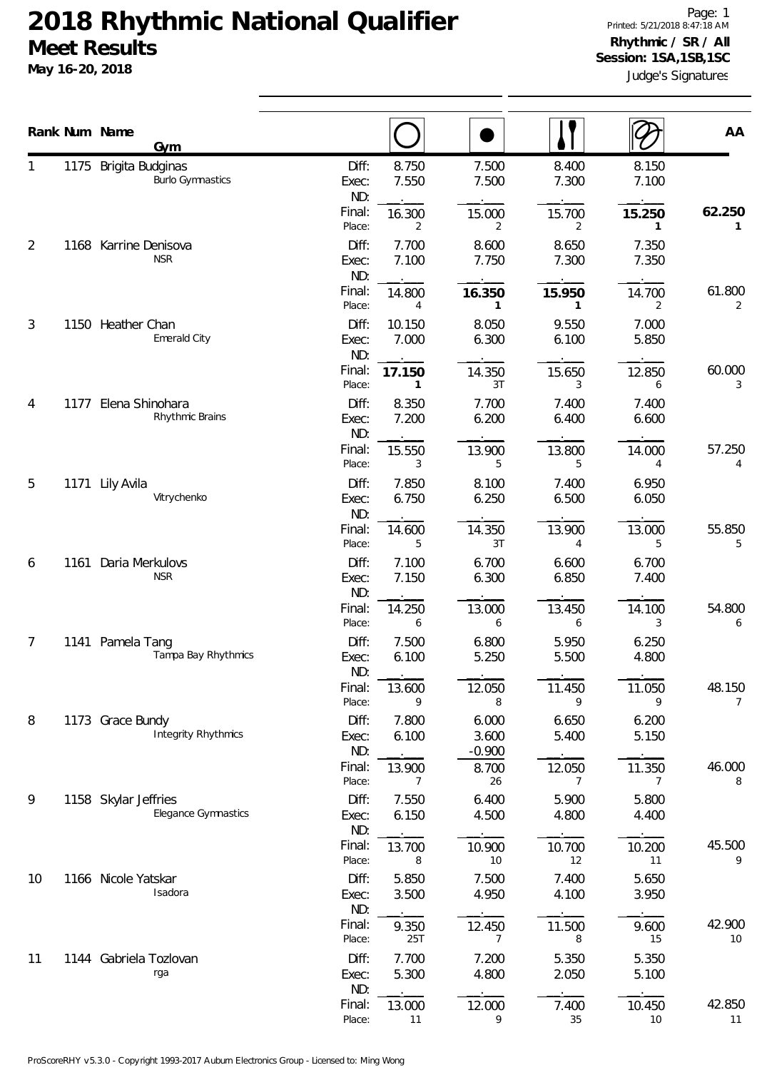## **2018 Rhythmic National Qualifier Meet Results**

**May 16-20, 2018**

|                |      | Rank Num Name<br><b>Gym</b>                      |                                              |                            |                |                | AA           |
|----------------|------|--------------------------------------------------|----------------------------------------------|----------------------------|----------------|----------------|--------------|
|                |      | 1175 Brigita Budginas<br><b>Burlo Gymnastics</b> | 8.750<br>Diff:<br>7.550<br>Exec:<br>ND:      | 7.500<br>7.500             | 8.400<br>7.300 | 8.150<br>7.100 |              |
|                |      |                                                  | Final:<br>16.300<br>Place:<br>2              | 15.000<br>2                | 15.700<br>2    | 15.250<br>1    | 62.250<br>1  |
| $\overline{2}$ | 1168 | Karrine Denisova<br><b>NSR</b>                   | 7.700<br>Diff:<br>7.100<br>Exec:<br>ND:      | 8.600<br>7.750             | 8.650<br>7.300 | 7.350<br>7.350 |              |
|                |      |                                                  | Final:<br>14.800<br>Place:                   | 16.350<br>1                | 15.950<br>1    | 14.700<br>2    | 61.800<br>2  |
| 3              |      | 1150 Heather Chan<br>Emerald City                | Diff:<br>10.150<br>7.000<br>Exec:<br>ND:     | 8.050<br>6.300             | 9.550<br>6.100 | 7.000<br>5.850 |              |
|                |      |                                                  | Final:<br>17.150<br>Place:<br>1              | 14.350<br>3T               | 15.650<br>3    | 12.850<br>6    | 60.000<br>3  |
| 4              | 1177 | Elena Shinohara<br>Rhythmic Brains               | Diff:<br>8.350<br>7.200<br>Exec:<br>ND:      | 7.700<br>6.200             | 7.400<br>6.400 | 7.400<br>6.600 |              |
|                |      |                                                  | Final:<br>15.550<br>Place:<br>3              | 13.900<br>5                | 13.800<br>5    | 14.000<br>4    | 57.250<br>4  |
| 5              | 1171 | Lily Avila<br>Vitrychenko                        | Diff:<br>7.850<br>6.750<br>Exec:<br>ND:      | 8.100<br>6.250             | 7.400<br>6.500 | 6.950<br>6.050 |              |
|                |      |                                                  | Final:<br>14.600<br>5<br>Place:              | 14.350<br>3T               | 13.900<br>4    | 13.000<br>5    | 55.850<br>5  |
| 6              | 1161 | Daria Merkulovs<br><b>NSR</b>                    | 7.100<br>Diff:<br>7.150<br>Exec:<br>ND:      | 6.700<br>6.300             | 6.600<br>6.850 | 6.700<br>7.400 |              |
|                |      |                                                  | Final:<br>14.250<br>Place:<br>6              | 13.000<br>6                | 13.450<br>6    | 14.100<br>3    | 54.800<br>6  |
| 7              |      | 1141 Pamela Tang<br>Tampa Bay Rhythmics          | Diff:<br>7.500<br>6.100<br>Exec:<br>ND:      | 6.800<br>5.250             | 5.950<br>5.500 | 6.250<br>4.800 |              |
|                |      |                                                  | Final:<br>13.600<br>Place:<br>9              | 12.050<br>8                | 11.450<br>9    | 11.050<br>9    | 48.150<br>7  |
| 8              |      | 1173 Grace Bundy<br><b>Integrity Rhythmics</b>   | Diff:<br>7.800<br>6.100<br>Exec:<br>ND:      | 6.000<br>3.600<br>$-0.900$ | 6.650<br>5.400 | 6.200<br>5.150 |              |
|                |      |                                                  | Final:<br>13.900<br>Place:<br>$\overline{7}$ | 8.700<br>26                | 12.050<br>7    | 11.350<br>7    | 46.000<br>8  |
| 9              |      | 1158 Skylar Jeffries<br>Elegance Gymnastics      | 7.550<br>Diff:<br>6.150<br>Exec:<br>ND:      | 6.400<br>4.500             | 5.900<br>4.800 | 5.800<br>4.400 |              |
|                |      |                                                  | Final:<br>13.700<br>Place:<br>8              | 10.900<br>10               | 10.700<br>12   | 10.200<br>11   | 45.500<br>9  |
| 10             |      | 1166 Nicole Yatskar<br>Isadora                   | Diff:<br>5.850<br>3.500<br>Exec:<br>ND:      | 7.500<br>4.950             | 7.400<br>4.100 | 5.650<br>3.950 |              |
|                |      |                                                  | Final:<br>9.350<br>Place:<br>25T             | 12.450<br>7                | 11.500<br>8    | 9.600<br>15    | 42.900<br>10 |
| 11             |      | 1144 Gabriela Tozlovan<br>rga                    | Diff:<br>7.700<br>5.300<br>Exec:<br>ND:      | 7.200<br>4.800             | 5.350<br>2.050 | 5.350<br>5.100 |              |
|                |      |                                                  | Final:<br>13.000<br>Place:<br>11             | 12.000<br>9                | 7.400<br>35    | 10.450<br>10   | 42.850<br>11 |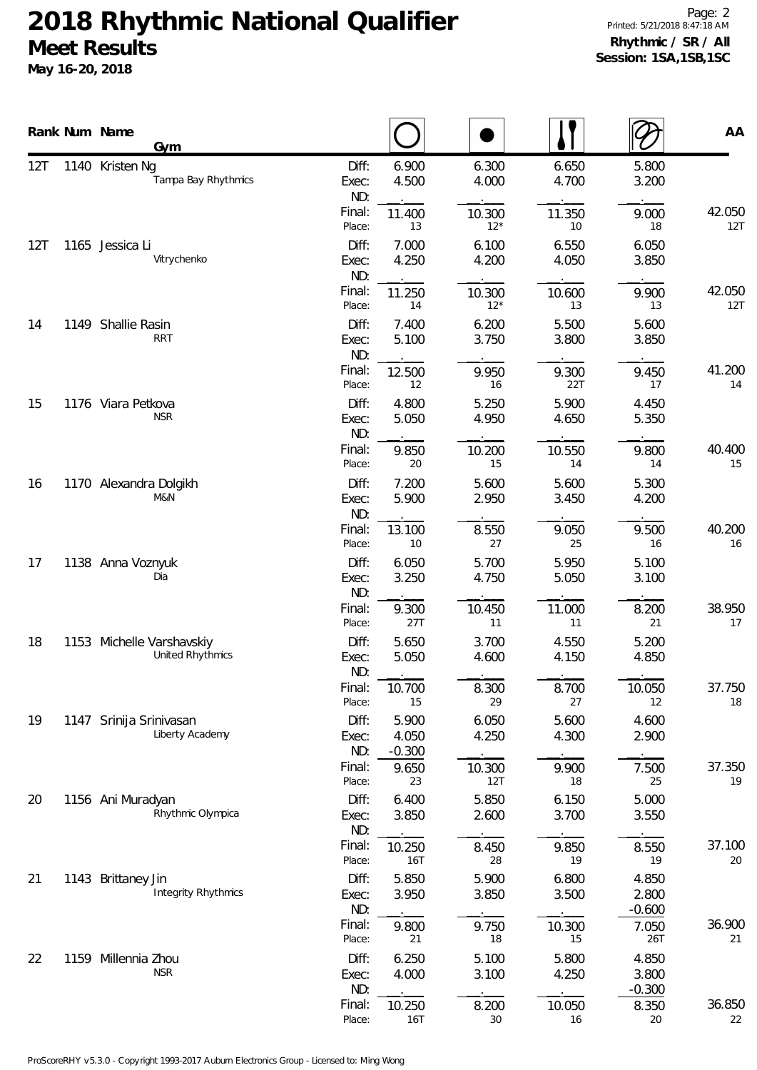## **2018 Rhythmic National Qualifier Meet Results**

**May 16-20, 2018**

|     |      | Rank Num Name<br>Gym                          |                       |                            |                 |                |                            | AA            |
|-----|------|-----------------------------------------------|-----------------------|----------------------------|-----------------|----------------|----------------------------|---------------|
| 12T |      | 1140 Kristen Ng<br>Tampa Bay Rhythmics        | Diff:<br>Exec:<br>ND: | 6.900<br>4.500             | 6.300<br>4.000  | 6.650<br>4.700 | 5.800<br>3.200             |               |
|     |      |                                               | Final:<br>Place:      | 11.400<br>13               | 10.300<br>$12*$ | 11.350<br>10   | 9.000<br>18                | 42.050<br>12T |
| 12T |      | 1165 Jessica Li<br>Vitrychenko                | Diff:<br>Exec:<br>ND: | 7.000<br>4.250             | 6.100<br>4.200  | 6.550<br>4.050 | 6.050<br>3.850             |               |
|     |      |                                               | Final:<br>Place:      | 11.250<br>14               | 10.300<br>$12*$ | 10.600<br>13   | 9.900<br>13                | 42.050<br>12T |
| 14  |      | 1149 Shallie Rasin<br><b>RRT</b>              | Diff:<br>Exec:<br>ND: | 7.400<br>5.100             | 6.200<br>3.750  | 5.500<br>3.800 | 5.600<br>3.850             |               |
|     |      |                                               | Final:<br>Place:      | 12.500<br>12               | 9.950<br>16     | 9.300<br>22T   | 9.450<br>17                | 41.200<br>14  |
| 15  |      | 1176 Viara Petkova<br><b>NSR</b>              | Diff:<br>Exec:<br>ND: | 4.800<br>5.050             | 5.250<br>4.950  | 5.900<br>4.650 | 4.450<br>5.350             |               |
|     |      |                                               | Final:<br>Place:      | 9.850<br>20                | 10.200<br>15    | 10.550<br>14   | 9.800<br>14                | 40.400<br>15  |
| 16  |      | 1170 Alexandra Dolgikh<br>M&N                 | Diff:<br>Exec:<br>ND: | 7.200<br>5.900             | 5.600<br>2.950  | 5.600<br>3.450 | 5.300<br>4.200             |               |
|     |      |                                               | Final:<br>Place:      | 13.100<br>$10$             | 8.550<br>27     | 9.050<br>25    | 9.500<br>16                | 40.200<br>16  |
| 17  |      | 1138 Anna Voznyuk<br>Dia                      | Diff:<br>Exec:<br>ND: | 6.050<br>3.250             | 5.700<br>4.750  | 5.950<br>5.050 | 5.100<br>3.100             |               |
|     |      |                                               | Final:<br>Place:      | 9.300<br>27T               | 10.450<br>11    | 11.000<br>11   | 8.200<br>21                | 38.950<br>17  |
| 18  |      | 1153 Michelle Varshavskiy<br>United Rhythmics | Diff:<br>Exec:<br>ND: | 5.650<br>5.050             | 3.700<br>4.600  | 4.550<br>4.150 | 5.200<br>4.850             |               |
|     |      |                                               | Final:<br>Place:      | 10.700<br>15               | 8.300<br>29     | 8.700<br>27    | 10.050<br>12               | 37.750<br>18  |
| 19  | 1147 | Srinija Srinivasan<br>Liberty Academy         | Diff:<br>Exec:<br>ND: | 5.900<br>4.050<br>$-0.300$ | 6.050<br>4.250  | 5.600<br>4.300 | 4.600<br>2.900             |               |
|     |      |                                               | Final:<br>Place:      | 9.650<br>23                | 10.300<br>12T   | 9.900<br>18    | 7.500<br>25                | 37.350<br>19  |
| 20  |      | 1156 Ani Muradyan<br>Rhythmic Olympica        | Diff:<br>Exec:<br>ND: | 6.400<br>3.850             | 5.850<br>2.600  | 6.150<br>3.700 | 5.000<br>3.550             |               |
|     |      |                                               | Final:<br>Place:      | 10.250<br><b>16T</b>       | 8.450<br>28     | 9.850<br>19    | 8.550<br>19                | 37.100<br>20  |
| 21  |      | 1143 Brittaney Jin<br>Integrity Rhythmics     | Diff:<br>Exec:<br>ND: | 5.850<br>3.950             | 5.900<br>3.850  | 6.800<br>3.500 | 4.850<br>2.800<br>$-0.600$ |               |
|     |      |                                               | Final:<br>Place:      | 9.800<br>21                | 9.750<br>18     | 10.300<br>15   | 7.050<br>26T               | 36.900<br>21  |
| 22  |      | 1159 Millennia Zhou<br><b>NSR</b>             | Diff:<br>Exec:<br>ND: | 6.250<br>4.000             | 5.100<br>3.100  | 5.800<br>4.250 | 4.850<br>3.800<br>$-0.300$ |               |
|     |      |                                               | Final:<br>Place:      | 10.250<br>16T              | 8.200<br>30     | 10.050<br>16   | 8.350<br>20                | 36.850<br>22  |

ProScoreRHY v5.3.0 - Copyright 1993-2017 Auburn Electronics Group - Licensed to: Ming Wong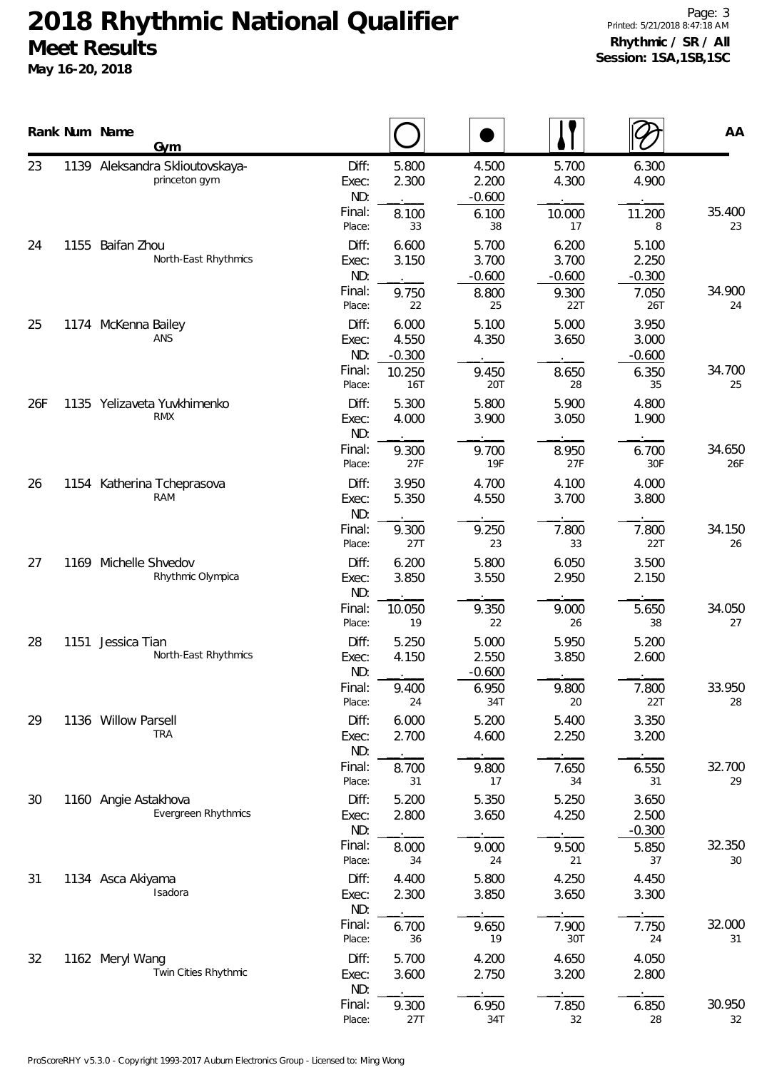## **2018 Rhythmic National Qualifier Meet Results May 16-20, 2018**

Page: 3 Printed: 5/21/2018 8:47:18 AM **Rhythmic / SR / All Session: 1SA,1SB,1SC**

|     |      | Rank Num Name<br><b>Gym</b>                        |                       |                            |                            |                            |                            | AA            |
|-----|------|----------------------------------------------------|-----------------------|----------------------------|----------------------------|----------------------------|----------------------------|---------------|
| 23  |      | 1139 Aleksandra Sklioutovskaya-<br>princeton gym   | Diff:<br>Exec:<br>ND: | 5.800<br>2.300             | 4.500<br>2.200<br>$-0.600$ | 5.700<br>4.300             | 6.300<br>4.900             |               |
|     |      |                                                    | Final:<br>Place:      | 8.100<br>33                | 6.100<br>38                | 10.000<br>17               | 11.200<br>8                | 35.400<br>23  |
| 24  |      | 1155 Baifan Zhou<br>North-East Rhythmics           | Diff:<br>Exec:<br>ND: | 6.600<br>3.150             | 5.700<br>3.700<br>$-0.600$ | 6.200<br>3.700<br>$-0.600$ | 5.100<br>2.250<br>$-0.300$ |               |
|     |      |                                                    | Final:<br>Place:      | 9.750<br>22                | 8.800<br>25                | 9.300<br>22T               | 7.050<br>26T               | 34.900<br>24  |
| 25  |      | 1174 McKenna Bailey<br>ANS                         | Diff:<br>Exec:<br>ND: | 6.000<br>4.550<br>$-0.300$ | 5.100<br>4.350             | 5.000<br>3.650             | 3.950<br>3.000<br>$-0.600$ |               |
|     |      |                                                    | Final:<br>Place:      | 10.250<br>16T              | 9.450<br>20T               | 8.650<br>28                | 6.350<br>35                | 34.700<br>25  |
| 26F |      | 1135 Yelizaveta Yuvkhimenko<br><b>RMX</b>          | Diff:<br>Exec:<br>ND: | 5.300<br>4.000             | 5.800<br>3.900             | 5.900<br>3.050             | 4.800<br>1.900             |               |
|     |      |                                                    | Final:<br>Place:      | 9.300<br>27F               | 9.700<br>19F               | 8.950<br>27F               | 6.700<br>30F               | 34.650<br>26F |
| 26  | 1154 | Katherina Tcheprasova<br>RAM                       | Diff:<br>Exec:<br>ND: | 3.950<br>5.350             | 4.700<br>4.550             | 4.100<br>3.700             | 4.000<br>3.800             |               |
|     |      |                                                    | Final:<br>Place:      | 9.300<br>27T               | 9.250<br>23                | 7.800<br>33                | 7.800<br>22T               | 34.150<br>26  |
| 27  | 1169 | Michelle Shvedov<br>Rhythmic Olympica              | Diff:<br>Exec:<br>ND: | 6.200<br>3.850             | 5.800<br>3.550             | 6.050<br>2.950             | 3.500<br>2.150             |               |
|     |      |                                                    | Final:<br>Place:      | 10.050<br>19               | 9.350<br>22                | 9.000<br>26                | 5.650<br>38                | 34.050<br>27  |
| 28  | 1151 | Jessica Tian<br>North-East Rhythmics               | Diff:<br>Exec:<br>ND: | 5.250<br>4.150             | 5.000<br>2.550<br>$-0.600$ | 5.950<br>3.850             | 5.200<br>2.600             |               |
|     |      |                                                    | Final:<br>Place:      | 9.400<br>24                | 6.950<br>34T               | 9.800<br>20                | 7.800<br>22T               | 33.950<br>28  |
| 29  |      | 1136 Willow Parsell<br><b>TRA</b>                  | Diff:<br>Exec:<br>ND: | 6.000<br>2.700             | 5.200<br>4.600             | 5.400<br>2.250             | 3.350<br>3.200             |               |
|     |      |                                                    | Final:<br>Place:      | 8.700<br>31                | 9.800<br>17                | 7.650<br>34                | 6.550<br>31                | 32.700<br>29  |
| 30  |      | 1160 Angie Astakhova<br><b>Evergreen Rhythmics</b> | Diff:<br>Exec:<br>ND: | 5.200<br>2.800             | 5.350<br>3.650             | 5.250<br>4.250             | 3.650<br>2.500<br>$-0.300$ |               |
|     |      |                                                    | Final:<br>Place:      | 8.000<br>34                | 9.000<br>24                | 9.500<br>21                | 5.850<br>37                | 32.350<br>30  |
| 31  |      | 1134 Asca Akiyama<br>Isadora                       | Diff:<br>Exec:<br>ND: | 4.400<br>2.300             | 5.800<br>3.850             | 4.250<br>3.650             | 4.450<br>3.300             |               |
|     |      |                                                    | Final:<br>Place:      | 6.700<br>36                | 9.650<br>19                | 7.900<br>30T               | 7.750<br>24                | 32.000<br>31  |
| 32  |      | 1162 Meryl Wang<br>Twin Cities Rhythmic            | Diff:<br>Exec:<br>ND: | 5.700<br>3.600             | 4.200<br>2.750             | 4.650<br>3.200             | 4.050<br>2.800             |               |
|     |      |                                                    | Final:<br>Place:      | 9.300<br>27T               | 6.950<br>34T               | 7.850<br>32                | 6.850<br>28                | 30.950<br>32  |